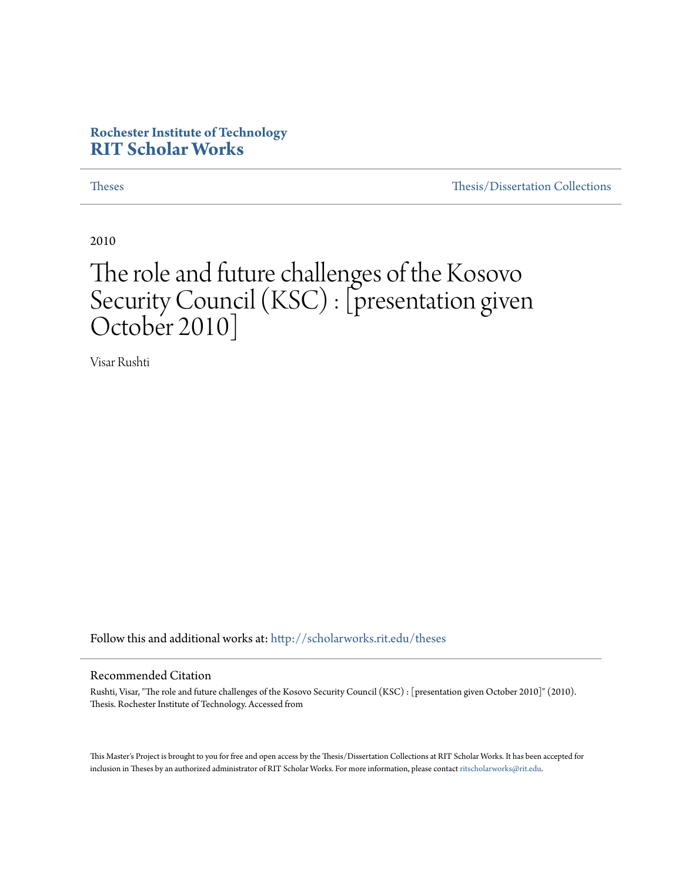#### **Rochester Institute of Technology [RIT Scholar Works](http://scholarworks.rit.edu?utm_source=scholarworks.rit.edu%2Ftheses%2F6969&utm_medium=PDF&utm_campaign=PDFCoverPages)**

[Theses](http://scholarworks.rit.edu/theses?utm_source=scholarworks.rit.edu%2Ftheses%2F6969&utm_medium=PDF&utm_campaign=PDFCoverPages) [Thesis/Dissertation Collections](http://scholarworks.rit.edu/etd_collections?utm_source=scholarworks.rit.edu%2Ftheses%2F6969&utm_medium=PDF&utm_campaign=PDFCoverPages)

2010

#### The role and future challenges of the Kosovo Security Council (KSC) : [presentation given October 2010]

Visar Rushti

Follow this and additional works at: [http://scholarworks.rit.edu/theses](http://scholarworks.rit.edu/theses?utm_source=scholarworks.rit.edu%2Ftheses%2F6969&utm_medium=PDF&utm_campaign=PDFCoverPages)

#### Recommended Citation

Rushti, Visar, "The role and future challenges of the Kosovo Security Council (KSC) : [presentation given October 2010]" (2010). Thesis. Rochester Institute of Technology. Accessed from

This Master's Project is brought to you for free and open access by the Thesis/Dissertation Collections at RIT Scholar Works. It has been accepted for inclusion in Theses by an authorized administrator of RIT Scholar Works. For more information, please contact [ritscholarworks@rit.edu](mailto:ritscholarworks@rit.edu).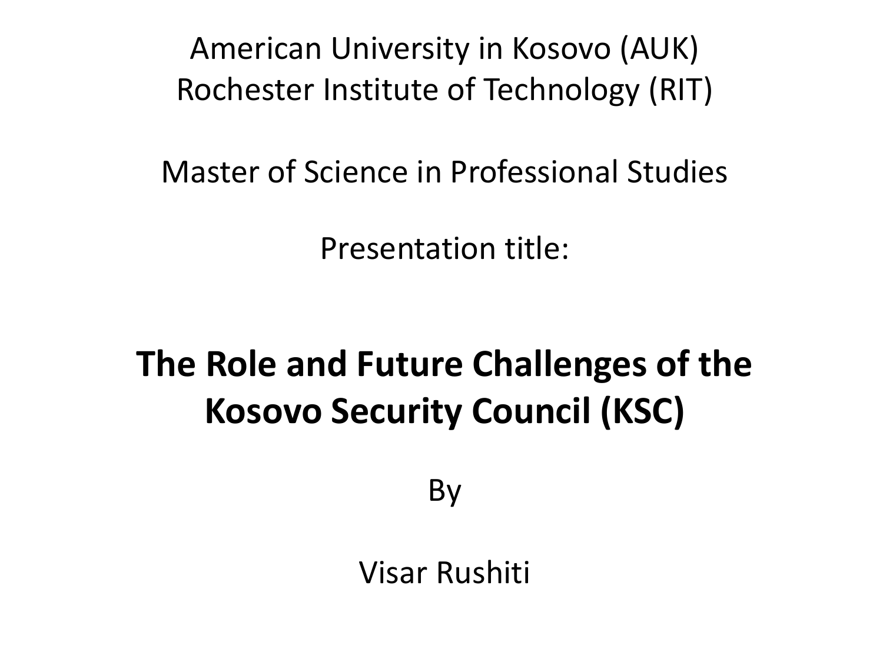American University in Kosovo (AUK) Rochester Institute of Technology (RIT)

Master of Science in Professional Studies

Presentation title:

## **The Role and Future Challenges of the Kosovo Security Council (KSC)**

By

Visar Rushiti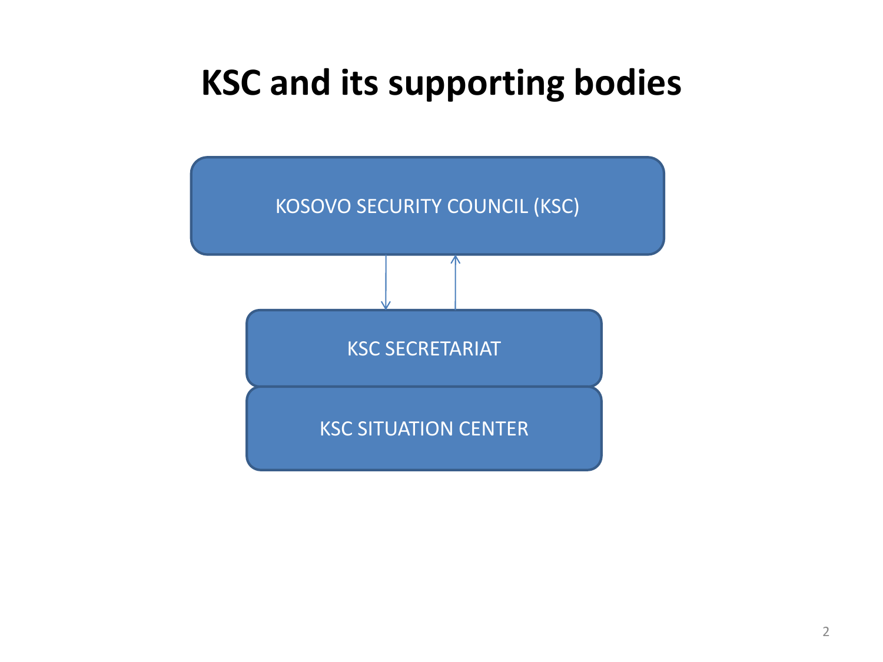## **KSC and its supporting bodies**

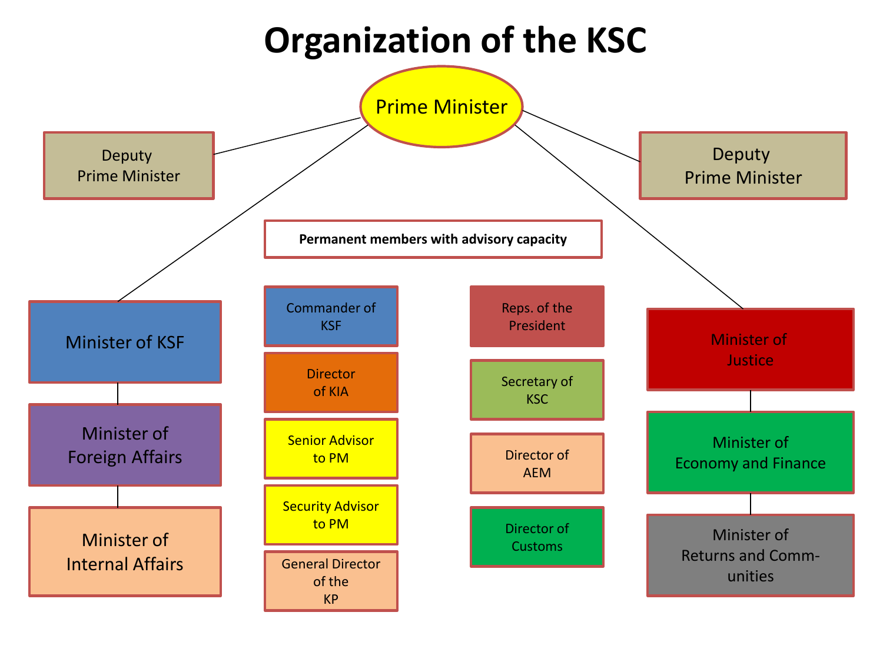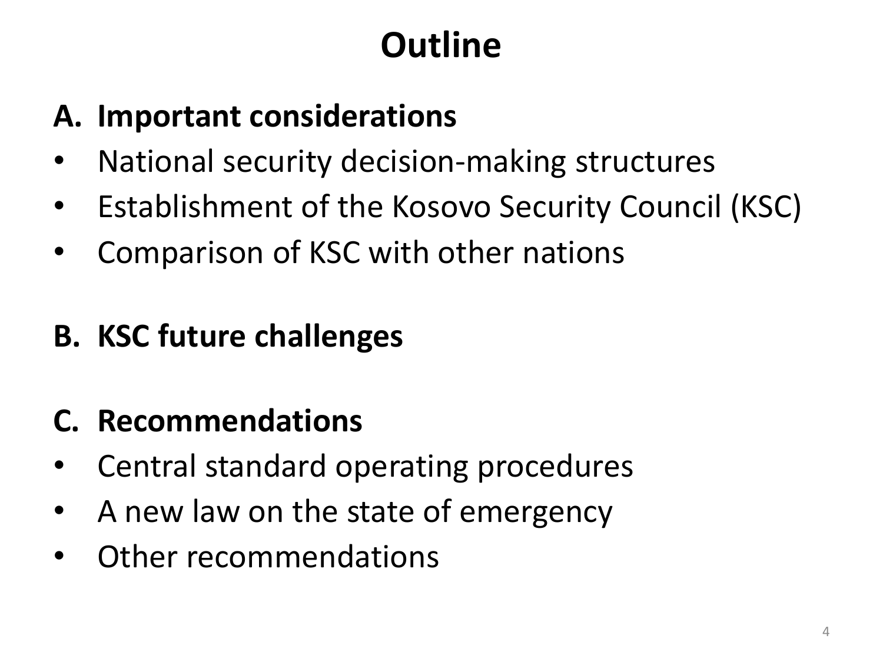## **Outline**

#### **A. Important considerations**

- National security decision-making structures
- Establishment of the Kosovo Security Council (KSC)
- Comparison of KSC with other nations
- **B. KSC future challenges**
- **C. Recommendations**
- Central standard operating procedures
- A new law on the state of emergency
- Other recommendations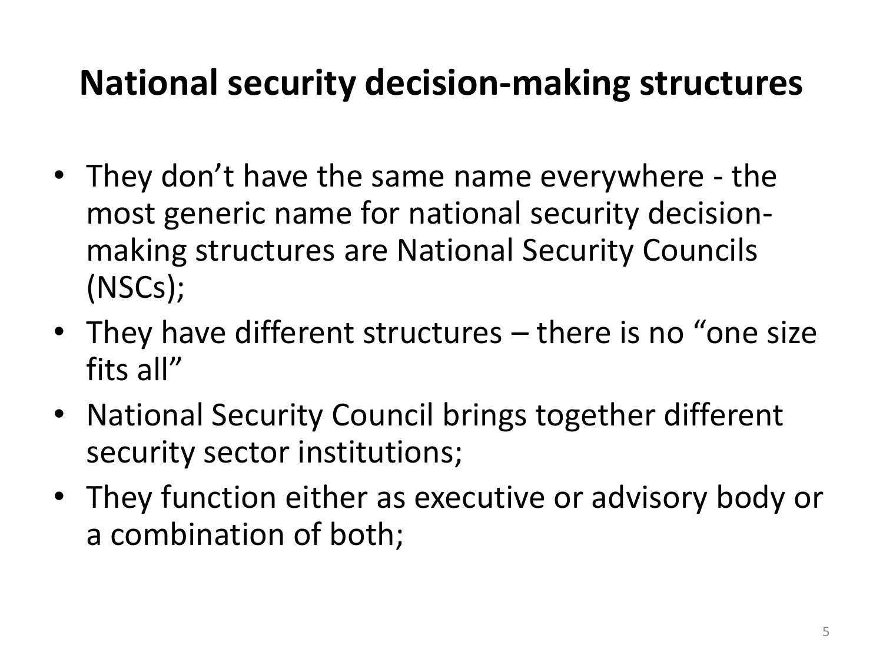## **National security decision-making structures**

- They don't have the same name everywhere the most generic name for national security decisionmaking structures are National Security Councils (NSCs);
- They have different structures there is no "one size" fits all"
- National Security Council brings together different security sector institutions;
- They function either as executive or advisory body or a combination of both;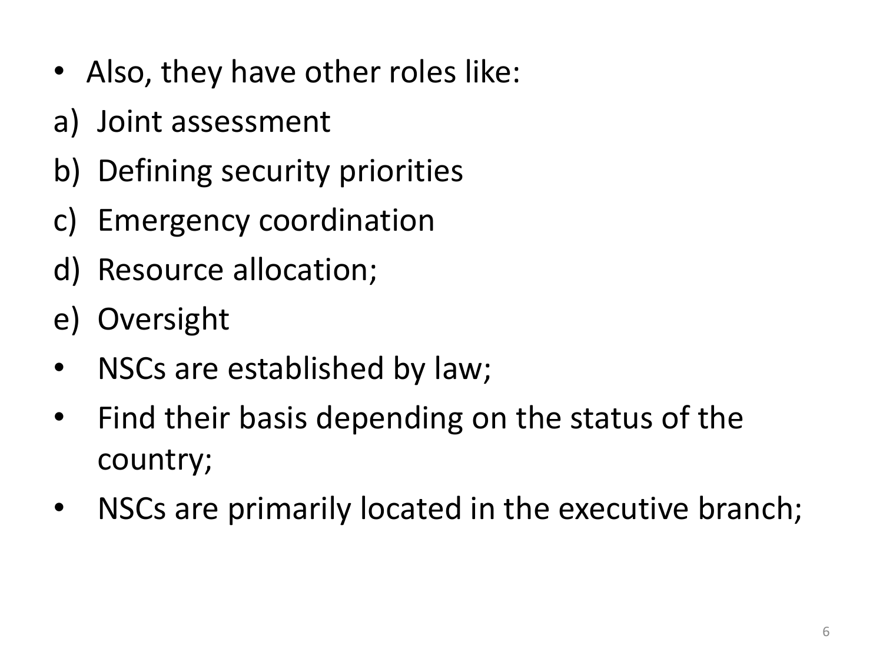- Also, they have other roles like:
- a) Joint assessment
- b) Defining security priorities
- c) Emergency coordination
- d) Resource allocation;
- e) Oversight
- NSCs are established by law;
- Find their basis depending on the status of the country;
- NSCs are primarily located in the executive branch;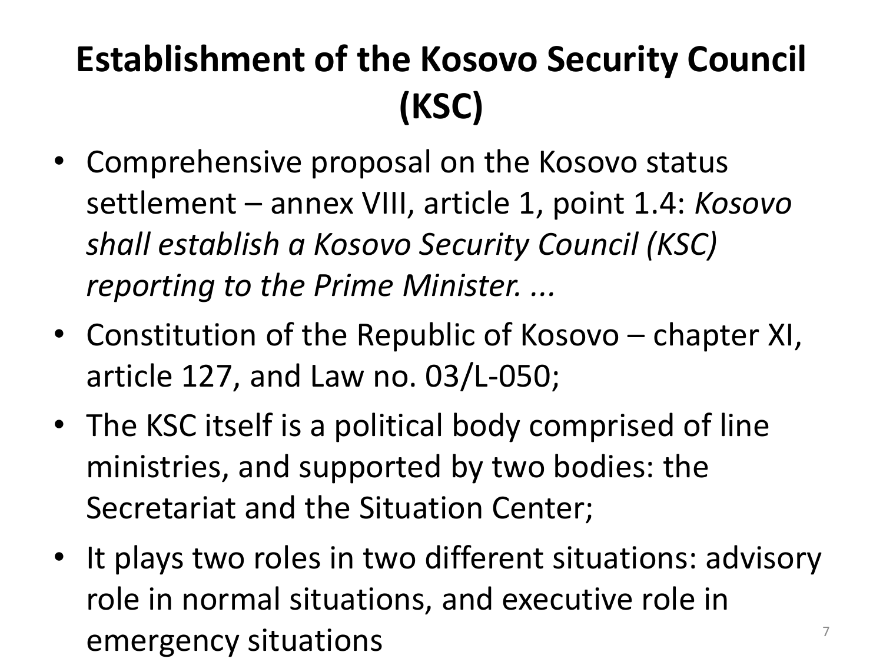# **Establishment of the Kosovo Security Council (KSC)**

- Comprehensive proposal on the Kosovo status settlement – annex VIII, article 1, point 1.4: *Kosovo shall establish a Kosovo Security Council (KSC) reporting to the Prime Minister. ...*
- Constitution of the Republic of Kosovo chapter XI, article 127, and Law no. 03/L-050;
- The KSC itself is a political body comprised of line ministries, and supported by two bodies: the Secretariat and the Situation Center;
- It plays two roles in two different situations: advisory role in normal situations, and executive role in emergency situations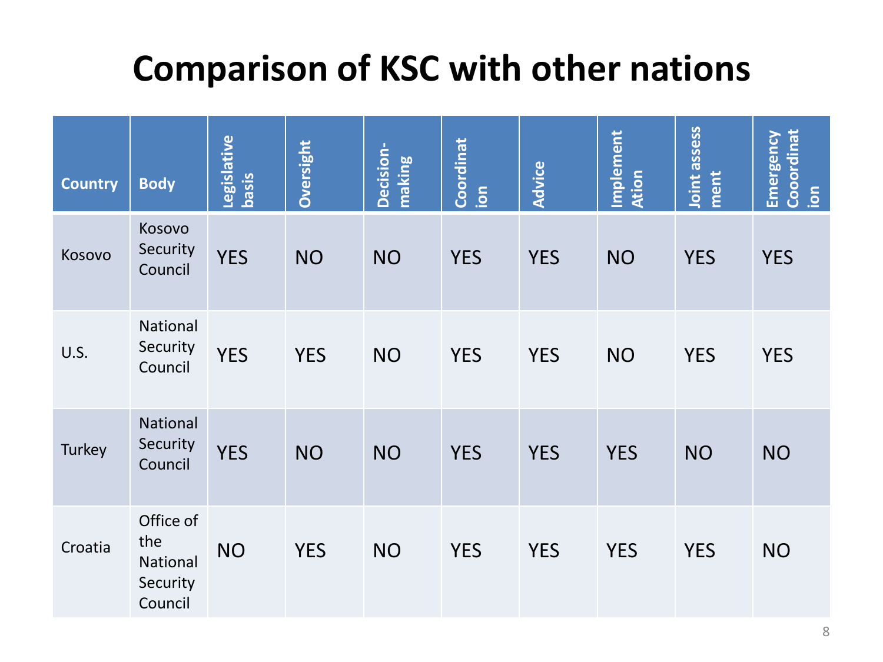## **Comparison of KSC with other nations**

| <b>Country</b> | <b>Body</b>                                         | Legislative<br><b>Sised</b> | Oversight  | Decision-<br>making | Coordinat<br>ion | <b>Advice</b> | Implement<br>Ation | Joint assess<br>ment | Cooordinat<br>Emergency<br>$\overline{5}$ |
|----------------|-----------------------------------------------------|-----------------------------|------------|---------------------|------------------|---------------|--------------------|----------------------|-------------------------------------------|
| Kosovo         | Kosovo<br>Security<br>Council                       | <b>YES</b>                  | <b>NO</b>  | <b>NO</b>           | <b>YES</b>       | <b>YES</b>    | <b>NO</b>          | <b>YES</b>           | <b>YES</b>                                |
| U.S.           | National<br>Security<br>Council                     | <b>YES</b>                  | <b>YES</b> | <b>NO</b>           | <b>YES</b>       | <b>YES</b>    | <b>NO</b>          | <b>YES</b>           | <b>YES</b>                                |
| Turkey         | National<br>Security<br>Council                     | <b>YES</b>                  | <b>NO</b>  | <b>NO</b>           | <b>YES</b>       | <b>YES</b>    | <b>YES</b>         | <b>NO</b>            | <b>NO</b>                                 |
| Croatia        | Office of<br>the<br>National<br>Security<br>Council | <b>NO</b>                   | <b>YES</b> | <b>NO</b>           | <b>YES</b>       | <b>YES</b>    | <b>YES</b>         | <b>YES</b>           | <b>NO</b>                                 |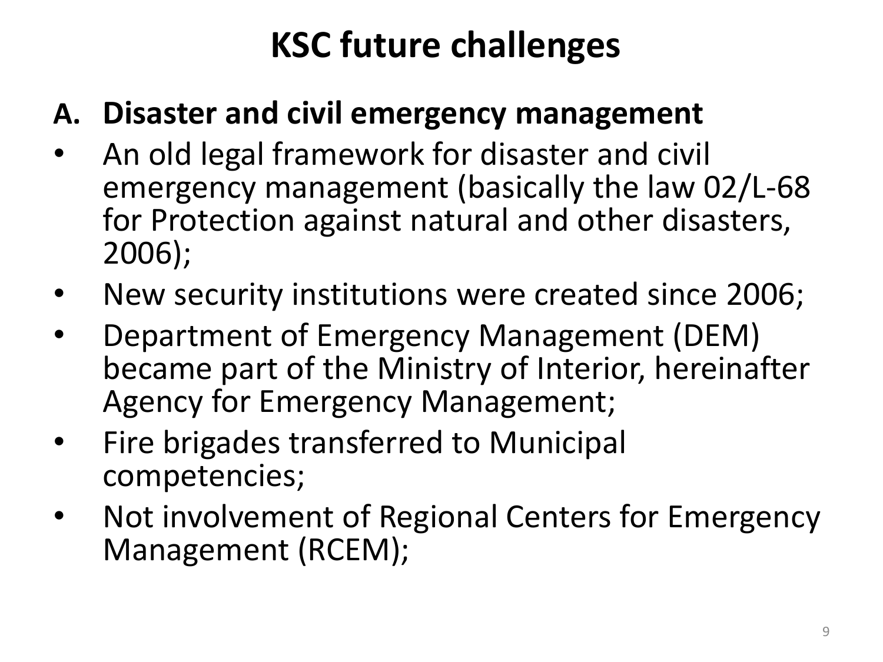## **KSC future challenges**

#### **A. Disaster and civil emergency management**

- An old legal framework for disaster and civil emergency management (basically the law 02/L-68 for Protection against natural and other disasters, 2006);
- New security institutions were created since 2006;
- Department of Emergency Management (DEM) became part of the Ministry of Interior, hereinafter Agency for Emergency Management;
- Fire brigades transferred to Municipal competencies;
- Not involvement of Regional Centers for Emergency Management (RCEM);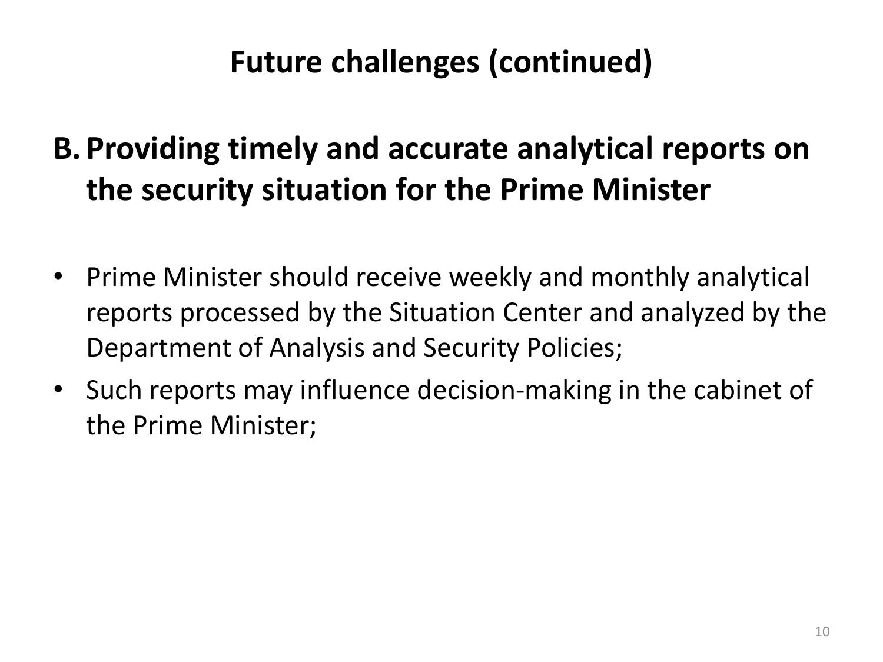### **Future challenges (continued)**

### **B. Providing timely and accurate analytical reports on the security situation for the Prime Minister**

- Prime Minister should receive weekly and monthly analytical reports processed by the Situation Center and analyzed by the Department of Analysis and Security Policies;
- Such reports may influence decision-making in the cabinet of the Prime Minister;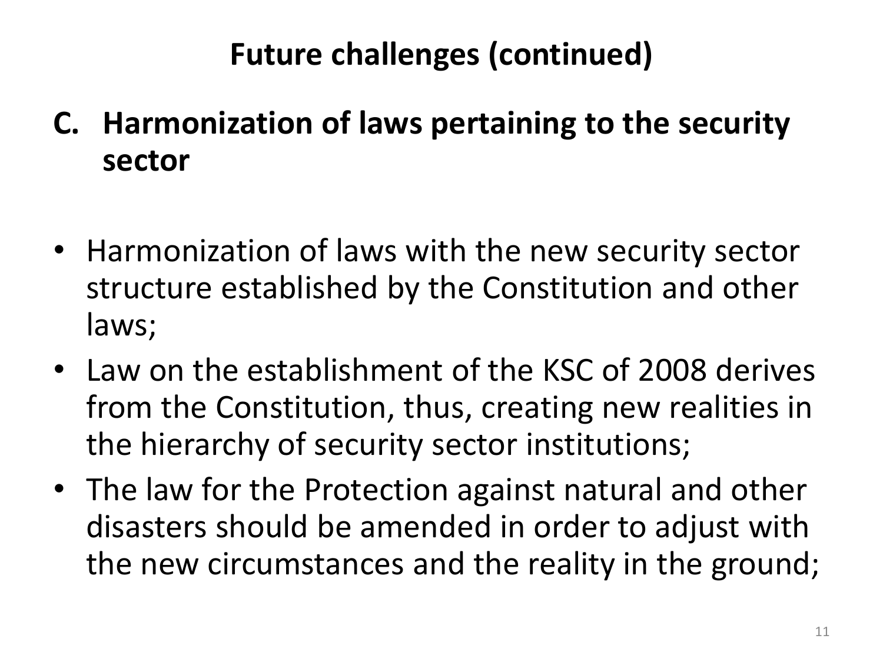### **Future challenges (continued)**

- **C. Harmonization of laws pertaining to the security sector**
- Harmonization of laws with the new security sector structure established by the Constitution and other laws;
- Law on the establishment of the KSC of 2008 derives from the Constitution, thus, creating new realities in the hierarchy of security sector institutions;
- The law for the Protection against natural and other disasters should be amended in order to adjust with the new circumstances and the reality in the ground;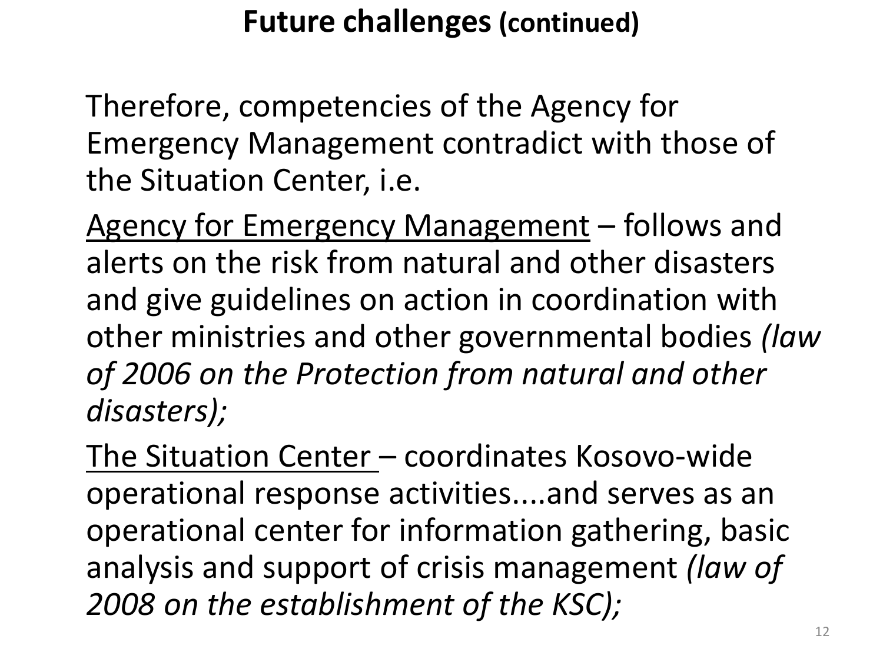#### **Future challenges (continued)**

Therefore, competencies of the Agency for Emergency Management contradict with those of the Situation Center, i.e.

Agency for Emergency Management - follows and alerts on the risk from natural and other disasters and give guidelines on action in coordination with other ministries and other governmental bodies *(law of 2006 on the Protection from natural and other disasters);*

The Situation Center – coordinates Kosovo-wide operational response activities....and serves as an operational center for information gathering, basic analysis and support of crisis management *(law of 2008 on the establishment of the KSC);*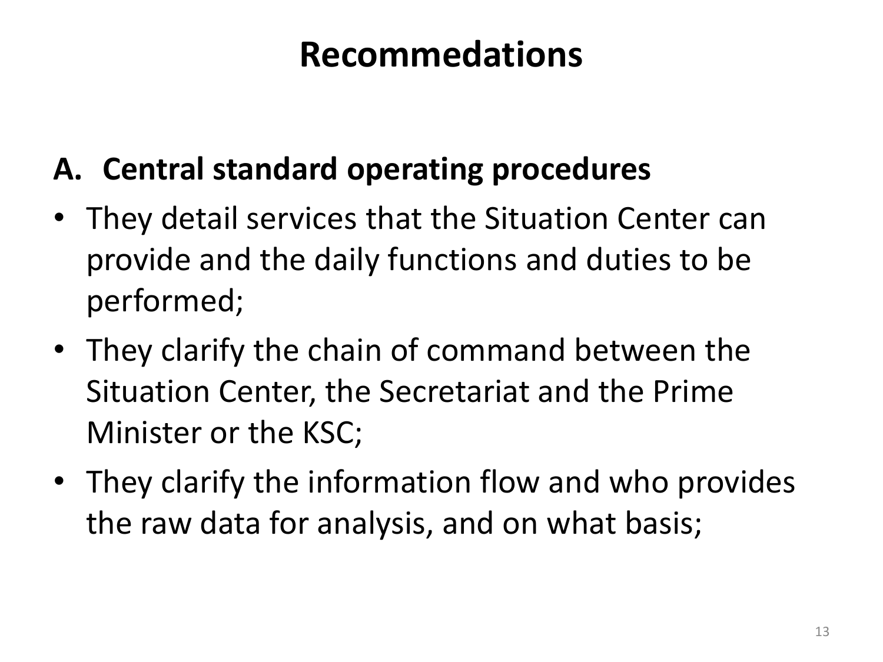## **Recommedations**

#### **A. Central standard operating procedures**

- They detail services that the Situation Center can provide and the daily functions and duties to be performed;
- They clarify the chain of command between the Situation Center, the Secretariat and the Prime Minister or the KSC;
- They clarify the information flow and who provides the raw data for analysis, and on what basis;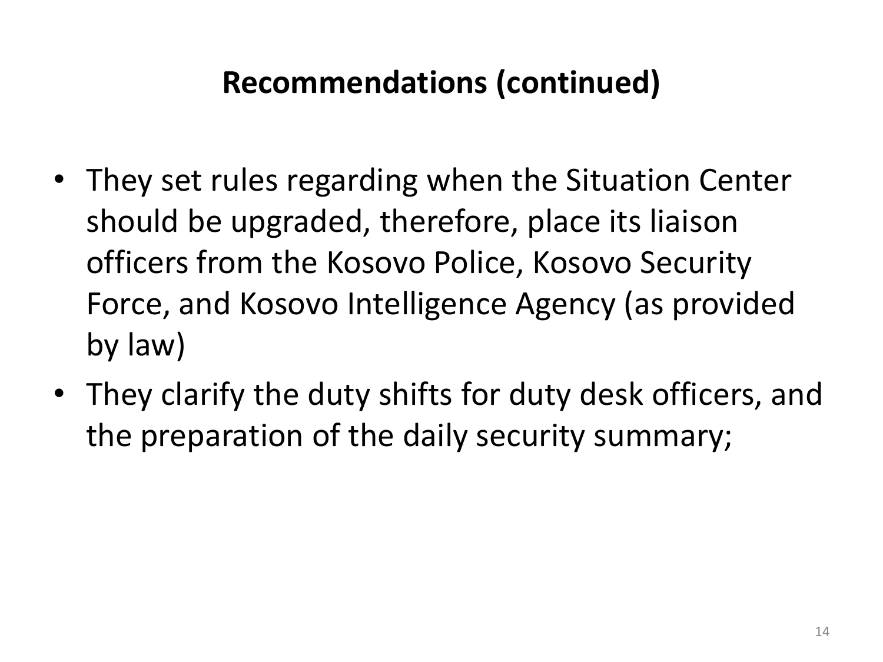#### **Recommendations (continued)**

- They set rules regarding when the Situation Center should be upgraded, therefore, place its liaison officers from the Kosovo Police, Kosovo Security Force, and Kosovo Intelligence Agency (as provided by law)
- They clarify the duty shifts for duty desk officers, and the preparation of the daily security summary;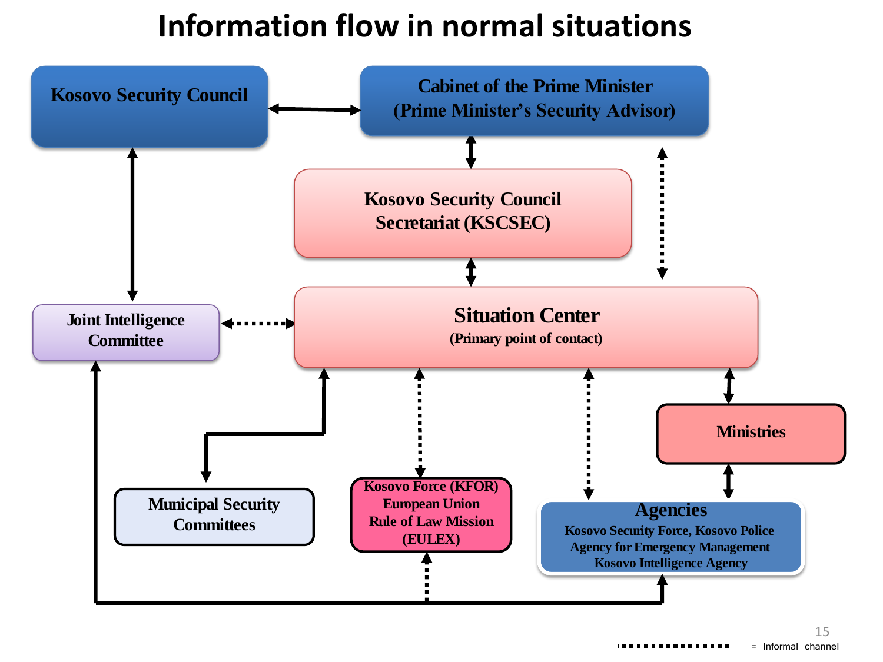#### **Information flow in normal situations**

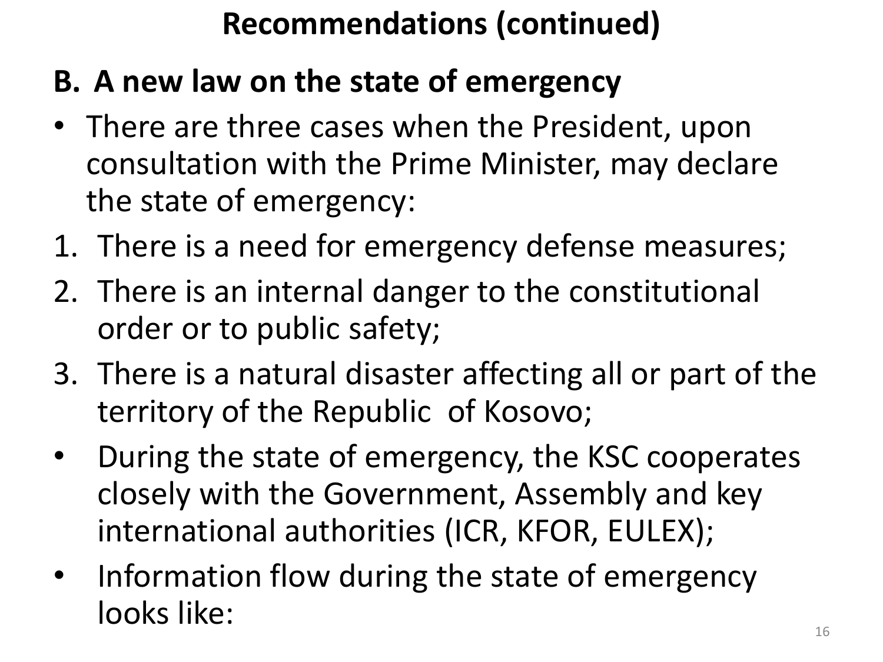## **Recommendations (continued)**

- **B. A new law on the state of emergency**
- There are three cases when the President, upon consultation with the Prime Minister, may declare the state of emergency:
- 1. There is a need for emergency defense measures;
- 2. There is an internal danger to the constitutional order or to public safety;
- 3. There is a natural disaster affecting all or part of the territory of the Republic of Kosovo;
- During the state of emergency, the KSC cooperates closely with the Government, Assembly and key international authorities (ICR, KFOR, EULEX);
- Information flow during the state of emergency looks like: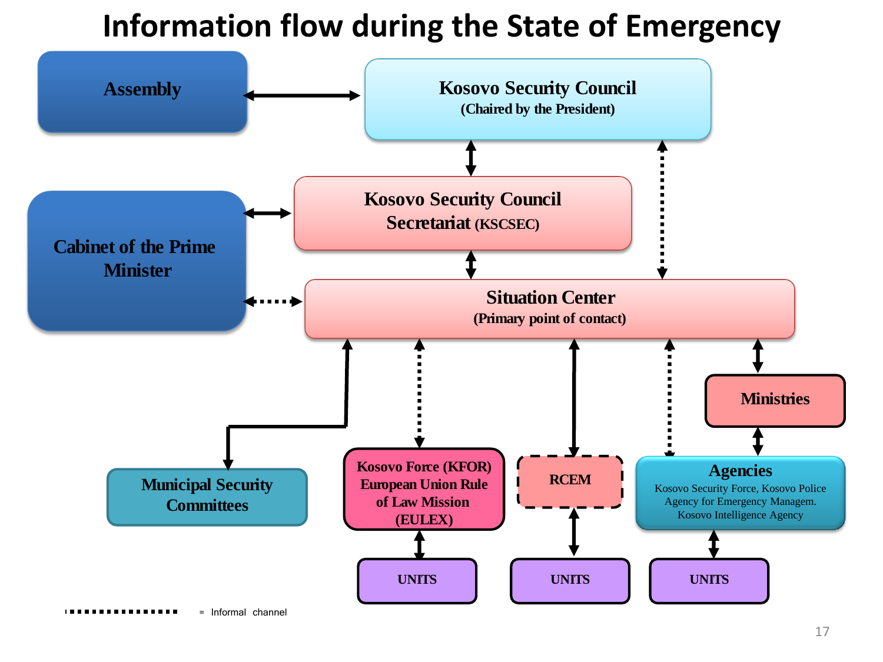#### **Information flow during the State of Emergency**

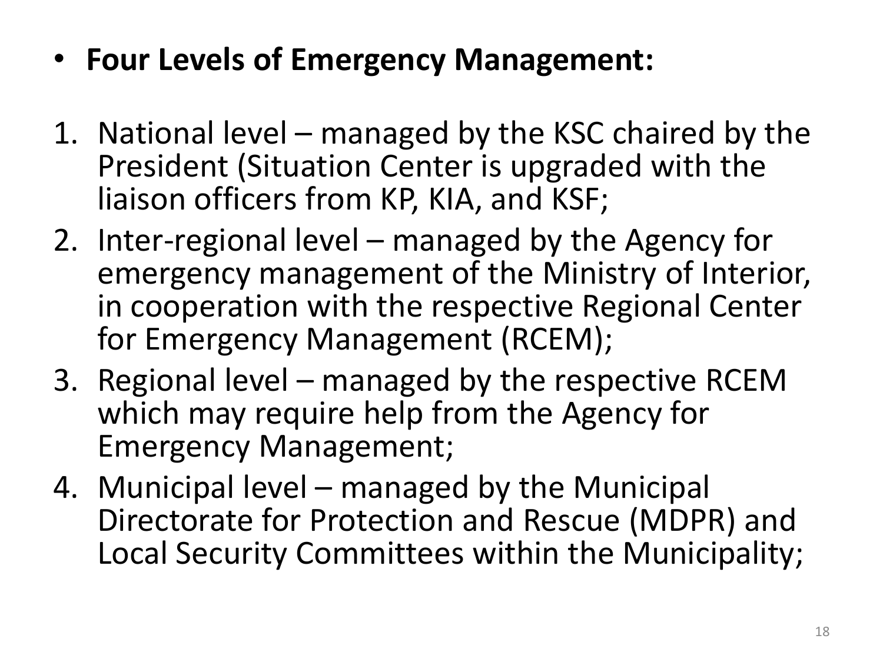- **Four Levels of Emergency Management:**
- 1. National level managed by the KSC chaired by the President (Situation Center is upgraded with the liaison officers from KP, KIA, and KSF;
- 2. Inter-regional level managed by the Agency for emergency management of the Ministry of Interior, in cooperation with the respective Regional Center for Emergency Management (RCEM);
- 3. Regional level managed by the respective RCEM which may require help from the Agency for Emergency Management;
- 4. Municipal level managed by the Municipal Directorate for Protection and Rescue (MDPR) and Local Security Committees within the Municipality;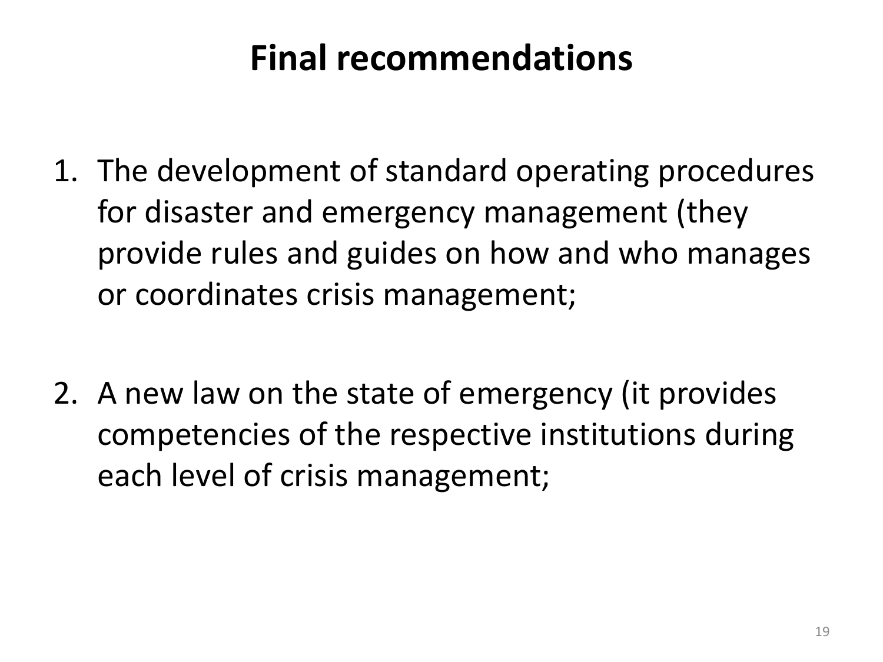## **Final recommendations**

- 1. The development of standard operating procedures for disaster and emergency management (they provide rules and guides on how and who manages or coordinates crisis management;
- 2. A new law on the state of emergency (it provides competencies of the respective institutions during each level of crisis management;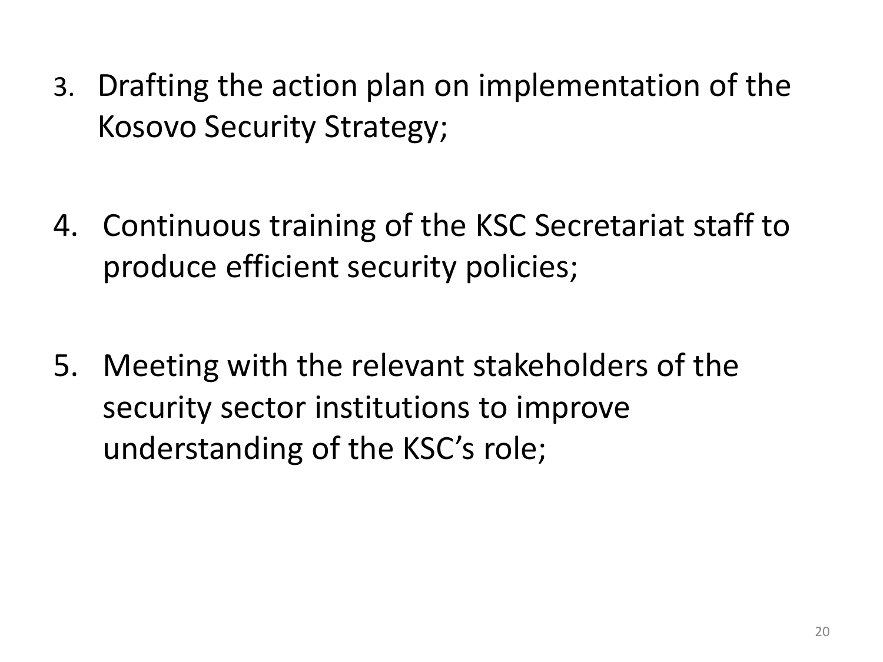- 3. Drafting the action plan on implementation of the Kosovo Security Strategy;
- 4. Continuous training of the KSC Secretariat staff to produce efficient security policies;
- 5. Meeting with the relevant stakeholders of the security sector institutions to improve understanding of the KSC's role;